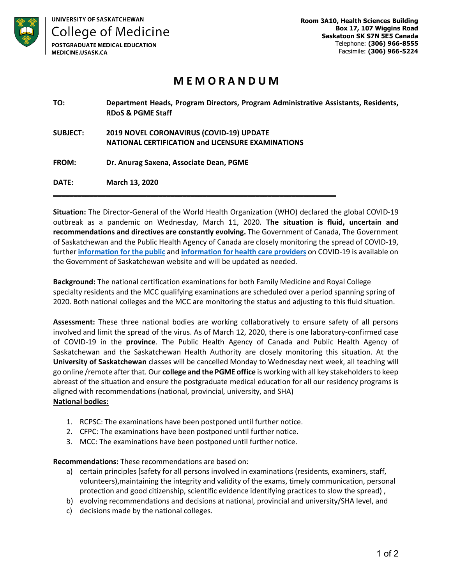

## **M E M O R A N D U M**

| TO:             | Department Heads, Program Directors, Program Administrative Assistants, Residents,<br><b>RDoS &amp; PGME Staff</b> |
|-----------------|--------------------------------------------------------------------------------------------------------------------|
| <b>SUBJECT:</b> | <b>2019 NOVEL CORONAVIRUS (COVID-19) UPDATE</b>                                                                    |
|                 | <b>NATIONAL CERTIFICATION and LICENSURE EXAMINATIONS</b>                                                           |
| FROM:           | Dr. Anurag Saxena, Associate Dean, PGME                                                                            |
| DATE:           | <b>March 13, 2020</b>                                                                                              |

**Situation:** The Director-General of the World Health Organization (WHO) declared the global COVID-19 outbreak as a pandemic on Wednesday, March 11, 2020. **The situation is fluid, uncertain and recommendations and directives are constantly evolving.** The Government of Canada, The Government of Saskatchewan and the Public Health Agency of Canada are closely monitoring the spread of COVID-19, further **information for the public** and **information for health care providers** on COVID-19 is available on the Government of Saskatchewan website and will be updated as needed.

**Background:** The national certification examinations for both Family Medicine and Royal College specialty residents and the MCC qualifying examinations are scheduled over a period spanning spring of 2020. Both national colleges and the MCC are monitoring the status and adjusting to this fluid situation.

**Assessment:** These three national bodies are working collaboratively to ensure safety of all persons involved and limit the spread of the virus. As of March 12, 2020, there is one laboratory-confirmed case of COVID-19 in the **province**. The Public Health Agency of Canada and Public Health Agency of Saskatchewan and the Saskatchewan Health Authority are closely monitoring this situation. At the **University of Saskatchewan** classes will be cancelled Monday to Wednesday next week, all teaching will go online /remote after that. Our **college and the PGME office** is working with all key stakeholders to keep abreast of the situation and ensure the postgraduate medical education for all our residency programs is aligned with recommendations (national, provincial, university, and SHA) **National bodies:** 

- 1. RCPSC: The examinations have been postponed until further notice.
- 2. CFPC: The examinations have been postponed until further notice.
- 3. MCC: The examinations have been postponed until further notice.

**Recommendations:** These recommendations are based on:

- a) certain principles [safety for all persons involved in examinations (residents, examiners, staff, volunteers),maintaining the integrity and validity of the exams, timely communication, personal protection and good citizenship, scientific evidence identifying practices to slow the spread) ,
- b) evolving recommendations and decisions at national, provincial and university/SHA level, and
- c) decisions made by the national colleges.